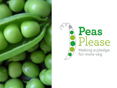

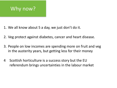

- 1. We all know about 5 a day, we just don't do it.
- 2. Veg protect against diabetes, cancer and heart disease.
- 3. People on low incomes are spending more on fruit and veg in the austerity years, but getting less for their money
- 4 Scottish horticulture is a success story but the EU referendum brings uncertainties in the labour market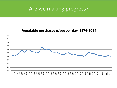### Are we making progress?

#### Vegetable purchases g/pp/per day, 1974-2014

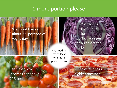#### 1 more portion please

We should be eating about 3.5 portions of veg a day

> We need to eat at least one more portion a day

People on low incomes eat about 20% less

Much of our veg is highly processed

80% of adults 95% of older children 80% of younger children eat too little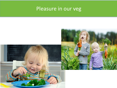## Pleasure in our veg

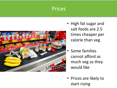### Prices



- High fat sugar and salt foods are 2.5 times cheaper per calorie than veg
- Some families cannot afford as much veg as they would like
- Prices are likely to start rising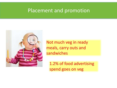#### Placement and promotion



Not much veg in ready meals, carry outs and sandwiches

1.2% of food advertising spend goes on veg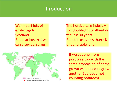#### Production

We import lots of exotic veg to Scotland But also lots that we can grow ourselves



The horticulture industry has doubled in Scotland in the last 30 years But still uses less than 4% of our arable land

If we eat one more portion a day with the same proportion of home grown we'll need to grow another 100,000t (not counting potatoes)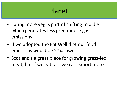# Planet

- Eating more veg is part of shifting to a diet which generates less greenhouse gas emissions
- If we adopted the Eat Well diet our food emissions would be 28% lower
- Scotland's a great place for growing grass-fed meat, but if we eat less we can export more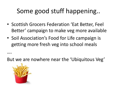# Some good stuff happening..

- Scottish Grocers Federation 'Eat Better, Feel Better' campaign to make veg more available
- Soil Association's Food for Life campaign is getting more fresh veg into school meals

But we are nowhere near the 'Ubiquitous Veg'



….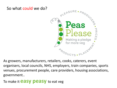

As growers, manufacturers, retailers, cooks, caterers, event organisers, local councils, NHS, employers, train companies, sports venues, procurement people, care providers, housing associations, government.. 

To make it **easy peasy** to eat veg